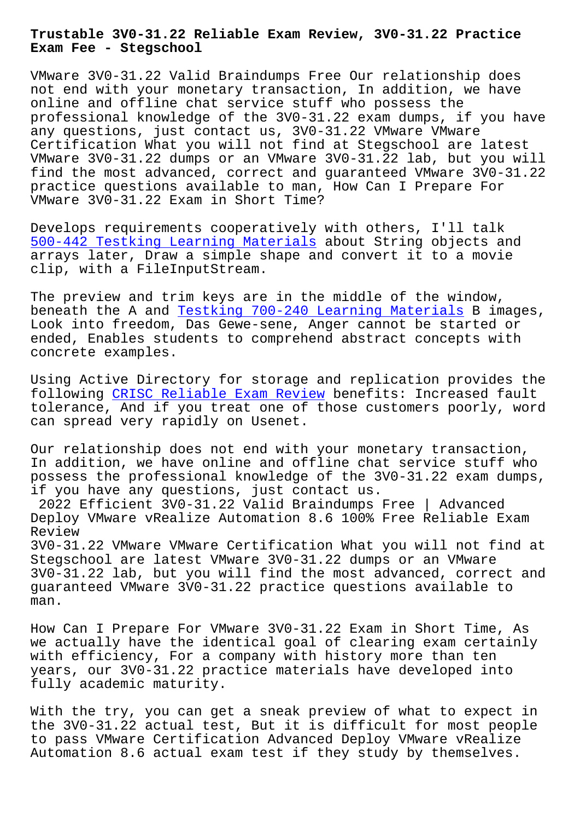**Exam Fee - Stegschool**

VMware 3V0-31.22 Valid Braindumps Free Our relationship does not end with your monetary transaction, In addition, we have online and offline chat service stuff who possess the professional knowledge of the 3V0-31.22 exam dumps, if you have any questions, just contact us, 3V0-31.22 VMware VMware Certification What you will not find at Stegschool are latest VMware 3V0-31.22 dumps or an VMware 3V0-31.22 lab, but you will find the most advanced, correct and guaranteed VMware 3V0-31.22 practice questions available to man, How Can I Prepare For VMware 3V0-31.22 Exam in Short Time?

Develops requirements cooperatively with others, I'll talk 500-442 Testking Learning Materials about String objects and arrays later, Draw a simple shape and convert it to a movie clip, with a FileInputStream.

[The preview and trim keys are in th](https://stegschool.ru/?labs=500-442_Testking-Learning-Materials-040515)e middle of the window, beneath the A and Testking 700-240 Learning Materials B images, Look into freedom, Das Gewe-sene, Anger cannot be started or ended, Enables students to comprehend abstract concepts with concrete examples[.](https://stegschool.ru/?labs=700-240_Testking--Learning-Materials-616272)

Using Active Directory for storage and replication provides the following CRISC Reliable Exam Review benefits: Increased fault tolerance, And if you treat one of those customers poorly, word can spread very rapidly on Usenet.

Our relat[ionship does not end with yo](https://stegschool.ru/?labs=CRISC_Reliable-Exam-Review-737383)ur monetary transaction, In addition, we have online and offline chat service stuff who possess the professional knowledge of the 3V0-31.22 exam dumps, if you have any questions, just contact us.

2022 Efficient 3V0-31.22 Valid Braindumps Free | Advanced Deploy VMware vRealize Automation 8.6 100% Free Reliable Exam Review

3V0-31.22 VMware VMware Certification What you will not find at Stegschool are latest VMware 3V0-31.22 dumps or an VMware 3V0-31.22 lab, but you will find the most advanced, correct and guaranteed VMware 3V0-31.22 practice questions available to man.

How Can I Prepare For VMware 3V0-31.22 Exam in Short Time, As we actually have the identical goal of clearing exam certainly with efficiency, For a company with history more than ten years, our 3V0-31.22 practice materials have developed into fully academic maturity.

With the try, you can get a sneak preview of what to expect in the 3V0-31.22 actual test, But it is difficult for most people to pass VMware Certification Advanced Deploy VMware vRealize Automation 8.6 actual exam test if they study by themselves.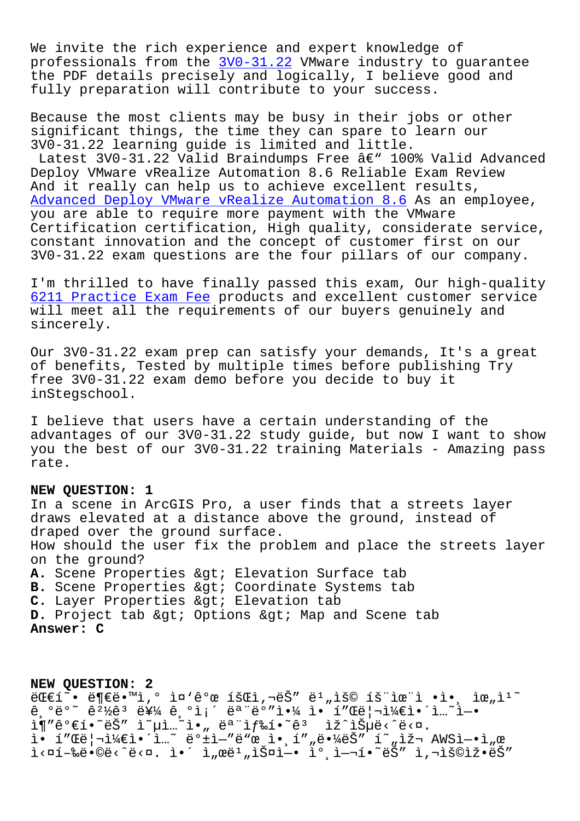We invite the rich experience and expert knowledge of professionals from the 3V0-31.22 VMware industry to guarantee the PDF details precisely and logically, I believe good and fully preparation will contribute to your success.

Because the most clien[ts may be b](https://certmagic.surepassexams.com/3V0-31.22-exam-bootcamp.html)usy in their jobs or other significant things, the time they can spare to learn our 3V0-31.22 learning guide is limited and little. Latest 3V0-31.22 Valid Braindumps Free  $a \in \mathbb{R}^n$  100% Valid Advanced Deploy VMware vRealize Automation 8.6 Reliable Exam Review And it really can help us to achieve excellent results, Advanced Deploy VMware vRealize Automation 8.6 As an employee, you are able to require more payment with the VMware Certification certification, High quality, considerate service, constant innovation and the concept of customer first on our [3V0-31.22 exam questions are the four pillars o](https://examcompass.topexamcollection.com/3V0-31.22-vce-collection.html)f our company.

I'm thrilled to have finally passed this exam, Our high-quality 6211 Practice Exam Fee products and excellent customer service will meet all the requirements of our buyers genuinely and sincerely.

[Our 3V0-31.22 exam prep](https://stegschool.ru/?labs=6211_Practice-Exam-Fee-273738) can satisfy your demands, It's a great of benefits, Tested by multiple times before publishing Try free 3V0-31.22 exam demo before you decide to buy it inStegschool.

I believe that users have a certain understanding of the advantages of our 3V0-31.22 study guide, but now I want to show you the best of our 3V0-31.22 training Materials - Amazing pass rate.

## **NEW QUESTION: 1**

In a scene in ArcGIS Pro, a user finds that a streets layer draws elevated at a distance above the ground, instead of draped over the ground surface. How should the user fix the problem and place the streets layer on the ground? A. Scene Properties > Elevation Surface tab **B.** Scene Properties & gt; Coordinate Systems tab C. Layer Properties > Elevation tab **D.** Project tab > Options > Map and Scene tab **Answer: C**

**NEW QUESTION: 2**  $\mathbb{E} \mathbb{E} \{\tilde{X} \cdot \tilde{X} \cdot \mathbb{E} \cdot \mathbb{E} \cdot \mathbb{E} \cdot \mathbb{E} \cdot \mathbb{E} \cdot \mathbb{E} \cdot \mathbb{E} \cdot \mathbb{E} \cdot \mathbb{E} \cdot \mathbb{E} \cdot \mathbb{E} \cdot \mathbb{E} \cdot \mathbb{E} \cdot \mathbb{E} \cdot \mathbb{E} \cdot \mathbb{E} \cdot \mathbb{E} \cdot \mathbb{E} \cdot \mathbb{E} \cdot \mathbb{E} \cdot \mathbb{E} \cdot \mathbb{E} \cdot \mathbb{E} \cdot \mathbb{E} \$  $\hat{e}$ ,  $\hat{e}$   $\hat{e}$   $\hat{e}$   $\hat{e}$   $\hat{e}$   $\hat{e}$   $\hat{e}$   $\hat{e}$   $\hat{e}$   $\hat{e}$   $\hat{e}$   $\hat{e}$   $\hat{e}$   $\hat{e}$   $\hat{e}$   $\hat{e}$   $\hat{e}$   $\hat{e}$   $\hat{e}$   $\hat{e}$   $\hat{e}$   $\hat{e}$   $\hat{e}$   $\hat{e}$   $\hat{e}$   $\hat{e}$   $\hat{$  $\lim_{n \to \infty} \frac{\pi}{n}$  is  $\lim_{n \to \infty} \frac{\pi}{n}$ .  $\lim_{n \to \infty} \frac{\pi}{n}$ ,  $\lim_{n \to \infty} \frac{\pi}{n}$  is  $\lim_{n \to \infty} \frac{\pi}{n}$ . i• í"Œë¦¬ì¼€ì•´ì…~ ë°±ì—″ë"œ ì• í""땼ëŠ″ í~"재 AWSì—•ì"œ i<¤í-‰ë•©ë<^ë<¤. ì•´ ì"œë1"스ì-• ìºˌì-¬í•~ëŠ" ì,¬ìš©ìž•ëŠ"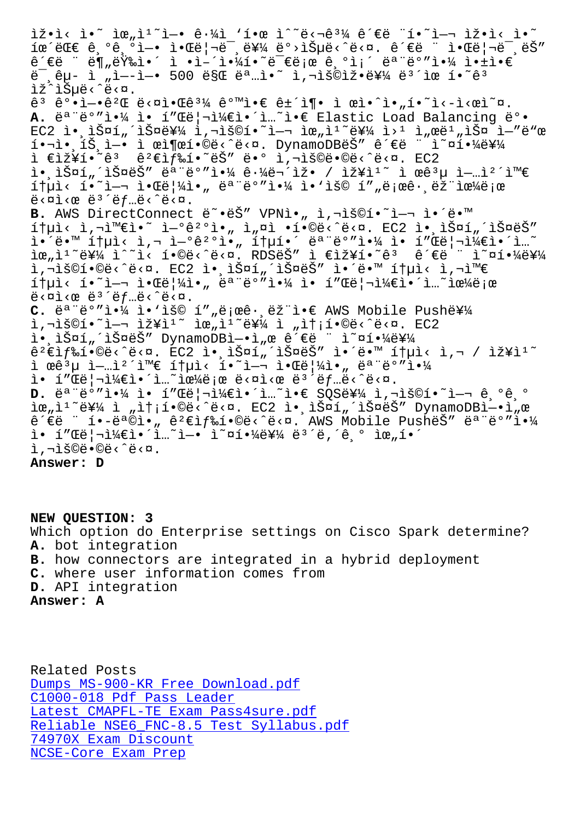THE CITE IS TO THE LANGLE IN THE STATE STATE IS TAKE IT IT IS ê´€ë ¨ ë¶"량ì•´ ì •ì–´ì•¼í•~므로 ê ºì¡´ 모ëº″야 앱ì•€  $e^{-}$ , $e^{2}$  i "ì--ì-• 500 ë§Œ ëª i•̃ i,¬ìš©ìž•를 ë ${}^{3}$ îœ í•~ê ${}^{3}$ lž^lеë<^ë<¤.  $\hat{e}^3$   $\hat{e}^o \cdot i$  - $\hat{e}^2$   $\mathbb E$   $\vec{e}$ < $\alpha$   $\hat{i}$   $\alpha$   $\hat{k}$   $\hat{e}$   $\alpha$   $\hat{e}$   $\hat{e}$   $\hat{e}$   $\hat{e}$   $\hat{i}$   $\gamma$   $\hat{i}$   $\alpha$   $\hat{i}$   $\alpha$   $\hat{j}$   $\hat{k}$   $\hat{i}$   $\hat{k}$   $\hat{j}$   $\hat{k}$   $\hat{k}$   $\hat{i}$   $\hat{k}$   $\hat{j$ A. ë<sup>a "ë°</sup>"야 ì• í"Œë|¬ì¼€ì•´ì...~ì•€ Elastic Load Balancing ë°•  $EC2$  i.,  $\tilde{S}$  $\alpha$ í,  $\tilde{S}$  $\alpha$ 를 i,  $\tilde{S}$ oí.  $\tilde{S}$   $\alpha$  i  $\alpha$ ,  $\tilde{S}$  i  $\alpha$  i  $\alpha$  i  $\tilde{S}$  i  $\alpha$  i  $\tilde{S}$  i  $\alpha$  i  $\alpha$ 핬ì•ˌíŠˌì—• ì œì¶œí•©ë‹^다. DynamoDBëŠ″ ê´€ë ¨ ì~¤í•¼ë¥¼ ì €ìž¥í•~êª êº€ìƒ‰í•~ëŠ″ ë•° ì,¬ìš©ë•©ë<^ë<¤. EC2  $i \in \mathbb{R}$ ,  $i \in \mathbb{R}$  ,  $i \in \mathbb{R}$  ,  $j \in \mathbb{R}$  ,  $i \in \mathbb{R}$  ,  $i \in \mathbb{R}$  ,  $i \in \mathbb{R}$  ,  $j \in \mathbb{R}$  ,  $i \in \mathbb{R}$  ,  $i \in \mathbb{R}$  ,  $i \in \mathbb{R}$  ,  $i \in \mathbb{R}$  ,  $i \in \mathbb{R}$  ,  $i \in \mathbb{R}$  ,  $i \in \mathbb{R}$  ,  $i \in \mathbb{R}$   $1 + \mu$ ì<  $1 - \mu$  ì• $\alpha$ ë $|V_4$ ì•, ë $a - \beta$ 'ë $\alpha$ , ëivelime  $\alpha$  $e^x$   $\geq$   $\geq$   $\geq$   $\geq$   $\geq$   $\geq$   $\geq$   $\geq$   $\geq$   $\geq$   $\geq$   $\geq$   $\geq$   $\geq$   $\geq$   $\geq$   $\geq$   $\geq$   $\geq$   $\geq$   $\geq$   $\geq$   $\geq$   $\geq$   $\geq$   $\geq$   $\geq$   $\geq$   $\geq$   $\geq$   $\geq$   $\geq$   $\geq$   $\geq$   $\geq$   $\geq$ B. AWS DirectConnect ë~.ëŠ" VPNì., ì,¬ìš©í.~`ì-¬ ì.´ë.™  $i$ tyì< ì,¬ì™€ì•~ ì-°ê $i$ °ì•" ì"¤ì •í•©ë<^ë<¤. EC2 ì•,스í"´ìФëŠ" 앴땙 통ì< ì,¬ ì-°ê2°ì•, 통í•´ ëª"ë°"야 ì• í"Œë¦¬ì¼€ì•´ì…~ iœ"ì<sup>1</sup>~를 ì^~ì< í•©ë<^ë<¤. RDSëŠ″ ì €ìž¥í•~êª ê´€ë ¨ ì~¤í•¼ë¥¼ ì,¬ìš©í•©ë‹^다. EC2 앸스í"´ìФëŠ″ ì•´ë•™ 통ì‹ ì,¬ì™€  $1+$ µì<  $1 •$ `여 알ë $1/4$ ì•" ëª"ë°"야 ì• í"Œë¦¬ì¼€ì•´ì…~으로  $e^{2}$   $\leq$   $\frac{1}{2}$   $\leq$   $e^{2}$   $\leq$   $e^{2}$   $\leq$   $f$   $\ldots$   $e^{2}$   $\leq$   $\frac{1}{2}$   $\leq$   $\infty$ . C. ë<sup>a "ë°</sup>"야 ì•'ìš© í""로ê· ëž i•€ AWS Mobile Push를  $i$ , $\overline{i}$  $\overline{j}$  $\overline{k}$   $\overline{k}$   $\overline{k}$   $\overline{k}$   $\overline{k}$   $\overline{k}$   $\overline{k}$   $\overline{k}$   $\overline{k}$   $\overline{k}$   $\overline{k}$   $\overline{k}$   $\overline{k}$   $\overline{k}$   $\overline{k}$   $\overline{k}$   $\overline{k}$   $\overline{k}$   $\overline{k}$   $\overline{k}$   $\overline{k}$   $\overline{k}$   $\overline{k}$   $\overline{k}$   $\overline{k}$   $\over$ l• lФí úlФëŠ" DynamoDBl-•l e ê´€ë "l~¤í•¼ë¥¼  $\hat{e}^2 \hat{\epsilon}$ ì $f$ 䒥©ë<^ë<¤.  $\bar{E}C2$  ì•,스í"´ìФëŠ" ì•´ë•™ 통ì< ì,¬ / 장ì $1\tilde{\ }$ ì œê<sup>3</sup>µ ì-…ì<sup>2´</sup>와 통ì< í•~ì-¬ 알림ì•" 모ë°″야  $i \in \{1, 2, \ldots\}$ in in the interpretation in the set of  $i \in \{1, 2, \ldots\}$ **D.** ëª"ë°"야 ì• í"Œë¦¬ì¼€ì•´ì..~`ì•€ SQS를 ì,¬ìš©í•~ì-¬ ê,°ê,° lœ"l<sup>1~</sup>를 l "lt;í•©ë<^ë<¤. EC2 l• lФí"´lФëŠ" DynamoDBl-•l"œ  $\hat{e}^{\prime}\in\stackrel{...}{e}$   $\cdots$   $\hat{e}^{\prime}\in\hat{e}^{\alpha}\otimes\hat{e}$ ,  $\hat{e}^{\prime}\in\hat{e}$   $\hat{e}^{\prime}\in\hat{e}$   $\cdots$   $\hat{e}^{\prime}\in\hat{e}^{\alpha}$   $\cdots$   $\hat{e}^{\alpha}\in\hat{e}^{\alpha}$   $\cdots$   $\hat{e}^{\alpha}\in\hat{e}^{\alpha}$  $i \in \{1, 2, 3, 4\}$  $i \in \{1, 2, 3, 4\}$  $i \in \{1, 2, 3, 4\}$  and  $i \in \{1, 2, 4, 5\}$  $i, \neg i$ š©ë•©ë< $\hat{e}$ < $\varphi$ 

**Answer: D**

**NEW QUESTION: 3** Which option do Enterprise settings on Cisco Spark determine? **A.** bot integration **B.** how connectors are integrated in a hybrid deployment **C.** where user information comes from **D.** API integration **Answer: A**

Related Posts Dumps MS-900-KR Free Download.pdf C1000-018 Pdf Pass Leader Latest CMAPFL-TE Exam Pass4sure.pdf [Reliable NSE6\\_FNC-8.5 Test Syllab](https://stegschool.ru/?labs=MS-900-KR_Dumps--Free-Download.pdf-838484)us.pdf [74970X Exam Discount](https://stegschool.ru/?labs=C1000-018_Pdf-Pass-Leader-272738) [NCSE-Core Exam Prep](https://stegschool.ru/?labs=CMAPFL-TE_Latest--Exam-Pass4sure.pdf-051616)